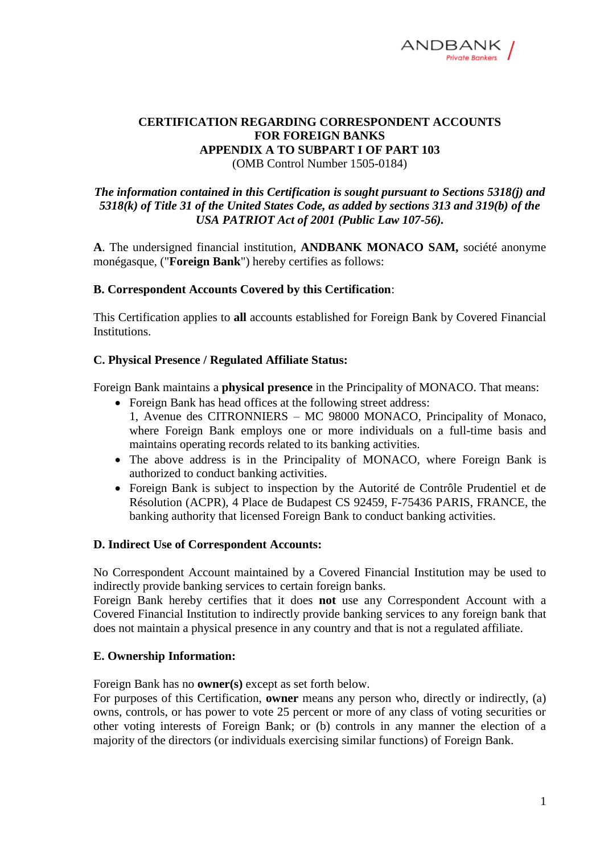

# **CERTIFICATION REGARDING CORRESPONDENT ACCOUNTS FOR FOREIGN BANKS APPENDIX A TO SUBPART I OF PART 103**

(OMB Control Number 1505-0184)

## *The information contained in this Certification is sought pursuant to Sections 5318(j) and 5318(k) of Title 31 of the United States Code, as added by sections 313 and 319(b) of the USA PATRIOT Act of 2001 (Public Law 107-56).*

**A**. The undersigned financial institution, **ANDBANK MONACO SAM,** société anonyme monégasque, ("**Foreign Bank**") hereby certifies as follows:

## **B. Correspondent Accounts Covered by this Certification**:

This Certification applies to **all** accounts established for Foreign Bank by Covered Financial Institutions.

## **C. Physical Presence / Regulated Affiliate Status:**

Foreign Bank maintains a **physical presence** in the Principality of MONACO. That means:

- Foreign Bank has head offices at the following street address:
- 1, Avenue des CITRONNIERS MC 98000 MONACO, Principality of Monaco, where Foreign Bank employs one or more individuals on a full-time basis and maintains operating records related to its banking activities.
- The above address is in the Principality of MONACO, where Foreign Bank is authorized to conduct banking activities.
- Foreign Bank is subject to inspection by the Autorité de Contrôle Prudentiel et de Résolution (ACPR), 4 Place de Budapest CS 92459, F-75436 PARIS, FRANCE, the banking authority that licensed Foreign Bank to conduct banking activities.

#### **D. Indirect Use of Correspondent Accounts:**

No Correspondent Account maintained by a Covered Financial Institution may be used to indirectly provide banking services to certain foreign banks.

Foreign Bank hereby certifies that it does **not** use any Correspondent Account with a Covered Financial Institution to indirectly provide banking services to any foreign bank that does not maintain a physical presence in any country and that is not a regulated affiliate.

#### **E. Ownership Information:**

Foreign Bank has no **owner(s)** except as set forth below.

For purposes of this Certification, **owner** means any person who, directly or indirectly, (a) owns, controls, or has power to vote 25 percent or more of any class of voting securities or other voting interests of Foreign Bank; or (b) controls in any manner the election of a majority of the directors (or individuals exercising similar functions) of Foreign Bank.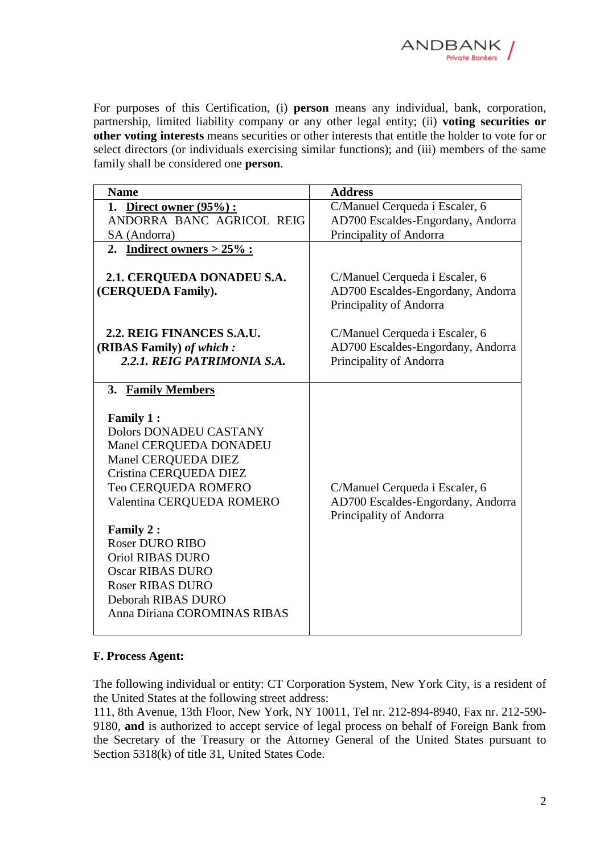

For purposes of this Certification, (i) **person** means any individual, bank, corporation, partnership, limited liability company or any other legal entity; (ii) **voting securities or other voting interests** means securities or other interests that entitle the holder to vote for or select directors (or individuals exercising similar functions); and (iii) members of the same family shall be considered one **person**.

| <b>Name</b>                                                                                                                                                                                                                                                                                                                                                    | <b>Address</b>                                                                                 |
|----------------------------------------------------------------------------------------------------------------------------------------------------------------------------------------------------------------------------------------------------------------------------------------------------------------------------------------------------------------|------------------------------------------------------------------------------------------------|
| 1. Direct owner $(95\%)$ :                                                                                                                                                                                                                                                                                                                                     | C/Manuel Cerqueda i Escaler, 6                                                                 |
| ANDORRA BANC AGRICOL REIG                                                                                                                                                                                                                                                                                                                                      | AD700 Escaldes-Engordany, Andorra                                                              |
| SA (Andorra)                                                                                                                                                                                                                                                                                                                                                   | Principality of Andorra                                                                        |
| 2. Indirect owners $> 25\%$ :                                                                                                                                                                                                                                                                                                                                  |                                                                                                |
| 2.1. CERQUEDA DONADEU S.A.<br>(CERQUEDA Family).                                                                                                                                                                                                                                                                                                               | C/Manuel Cerqueda i Escaler, 6<br>AD700 Escaldes-Engordany, Andorra<br>Principality of Andorra |
| 2.2. REIG FINANCES S.A.U.                                                                                                                                                                                                                                                                                                                                      | C/Manuel Cerqueda i Escaler, 6                                                                 |
| (RIBAS Family) of which:                                                                                                                                                                                                                                                                                                                                       | AD700 Escaldes-Engordany, Andorra                                                              |
| 2.2.1. REIG PATRIMONIA S.A.                                                                                                                                                                                                                                                                                                                                    | Principality of Andorra                                                                        |
|                                                                                                                                                                                                                                                                                                                                                                |                                                                                                |
| 3. Family Members                                                                                                                                                                                                                                                                                                                                              |                                                                                                |
| <b>Family 1:</b><br><b>Dolors DONADEU CASTANY</b><br>Manel CERQUEDA DONADEU<br>Manel CERQUEDA DIEZ<br>Cristina CERQUEDA DIEZ<br>Teo CERQUEDA ROMERO<br>Valentina CERQUEDA ROMERO<br>Family 2:<br><b>Roser DURO RIBO</b><br><b>Oriol RIBAS DURO</b><br><b>Oscar RIBAS DURO</b><br><b>Roser RIBAS DURO</b><br>Deborah RIBAS DURO<br>Anna Diriana COROMINAS RIBAS | C/Manuel Cerqueda i Escaler, 6<br>AD700 Escaldes-Engordany, Andorra<br>Principality of Andorra |

#### **F. Process Agent:**

The following individual or entity: CT Corporation System, New York City, is a resident of the United States at the following street address:

111, 8th Avenue, 13th Floor, New York, NY 10011, Tel nr. 212-894-8940, Fax nr. 212-590- 9180, **and** is authorized to accept service of legal process on behalf of Foreign Bank from the Secretary of the Treasury or the Attorney General of the United States pursuant to Section 5318(k) of title 31, United States Code.